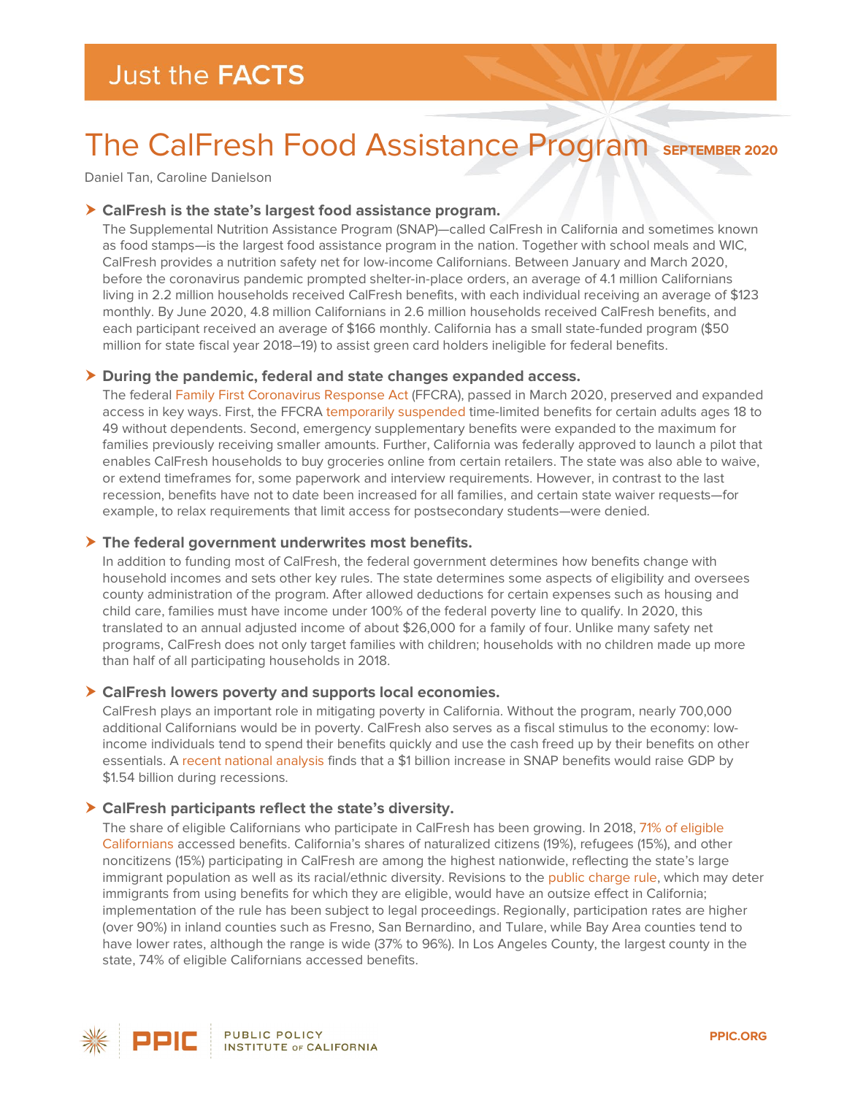# The CalFresh Food Assistance Program **SEPTEMBER 2020**

Daniel Tan, Caroline Danielson

#### **CalFresh is the state's largest food assistance program.**

The Supplemental Nutrition Assistance Program (SNAP)—called CalFresh in California and sometimes known as food stamps—is the largest food assistance program in the nation. Together with school meals and WIC, CalFresh provides a nutrition safety net for low-income Californians. Between January and March 2020, before the coronavirus pandemic prompted shelter-in-place orders, an average of 4.1 million Californians living in 2.2 million households received CalFresh benefits, with each individual receiving an average of \$123 monthly. By June 2020, 4.8 million Californians in 2.6 million households received CalFresh benefits, and each participant received an average of \$166 monthly. California has a small state-funded program (\$50 million for state fiscal year 2018–19) to assist green card holders ineligible for federal benefits.

## **During the pandemic, federal and state changes expanded access.**

The federal [Family First Coronavirus Response Act](https://www.cbpp.org/research/food-assistance/usda-states-must-act-swiftly-to-deliver-food-assistance-allowed-by-families) (FFCRA), passed in March 2020, preserved and expanded access in key ways. First, the FFCRA [temporarily suspended](https://www.fns.usda.gov/snap/ffcra-impact-time-limit-abawds) time-limited benefits for certain adults ages 18 to 49 without dependents. Second, emergency supplementary benefits were expanded to the maximum for families previously receiving smaller amounts. Further, California was federally approved to launch a pilot that enables CalFresh households to buy groceries online from certain retailers. The state was also able to waive, or extend timeframes for, some paperwork and interview requirements. However, in contrast to the last recession, benefits have not to date been increased for all families, and certain state waiver requests—for example, to relax requirements that limit access for postsecondary students—were denied.

## **The federal government underwrites most benefits.**

In addition to funding most of CalFresh, the federal government determines how benefits change with household incomes and sets other key rules. The state determines some aspects of eligibility and oversees county administration of the program. After allowed deductions for certain expenses such as housing and child care, families must have income under 100% of the federal poverty line to qualify. In 2020, this translated to an annual adjusted income of about \$26,000 for a family of four. Unlike many safety net programs, CalFresh does not only target families with children; households with no children made up more than half of all participating households in 2018.

## **CalFresh lowers poverty and supports local economies.**

CalFresh plays an important role in mitigating poverty in California. Without the program, nearly 700,000 additional Californians would be in poverty. CalFresh also serves as a fiscal stimulus to the economy: lowincome individuals tend to spend their benefits quickly and use the cash freed up by their benefits on other essentials. A recent [national analysis](https://ideas.repec.org/a/ags/uersaw/302728.html) finds that a \$1 billion increase in SNAP benefits would raise GDP by \$1.54 billion during recessions.

## **CalFresh participants reflect the state's diversity.**

The share of eligible Californians who participate in CalFresh has been growing. In 2018, [71% of eligible](https://public.tableau.com/profile/california.department.of.social.services#!/vizhome/CFdashboard-PUBLIC/Home?publish=yes)  [Californians](https://public.tableau.com/profile/california.department.of.social.services#!/vizhome/CFdashboard-PUBLIC/Home?publish=yes) accessed benefits. California's shares of naturalized citizens (19%), refugees (15%), and other noncitizens (15%) participating in CalFresh are among the highest nationwide, reflecting the state's large immigrant population as well as its racial/ethnic diversity. Revisions to the [public charge rule,](https://www.ppic.org/blog/federal-immigration-proposal-could-have-widespread-impact/) which may deter immigrants from using benefits for which they are eligible, would have an outsize effect in California; implementation of the rule has been subject to legal proceedings. Regionally, participation rates are higher (over 90%) in inland counties such as Fresno, San Bernardino, and Tulare, while Bay Area counties tend to have lower rates, although the range is wide (37% to 96%). In Los Angeles County, the largest county in the state, 74% of eligible Californians accessed benefits.